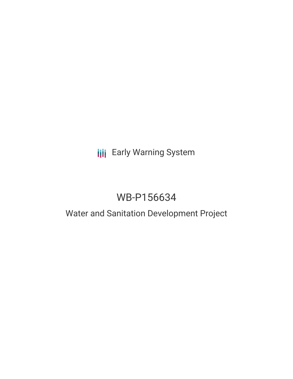## **III** Early Warning System

# WB-P156634

## Water and Sanitation Development Project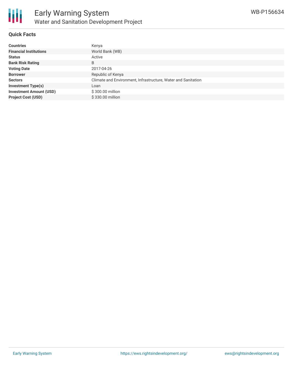

### **Quick Facts**

| <b>Countries</b>               | Kenya                                                         |
|--------------------------------|---------------------------------------------------------------|
| <b>Financial Institutions</b>  | World Bank (WB)                                               |
| <b>Status</b>                  | Active                                                        |
| <b>Bank Risk Rating</b>        | B                                                             |
| <b>Voting Date</b>             | 2017-04-26                                                    |
| <b>Borrower</b>                | Republic of Kenya                                             |
| <b>Sectors</b>                 | Climate and Environment, Infrastructure, Water and Sanitation |
| <b>Investment Type(s)</b>      | Loan                                                          |
| <b>Investment Amount (USD)</b> | \$300.00 million                                              |
| <b>Project Cost (USD)</b>      | \$330.00 million                                              |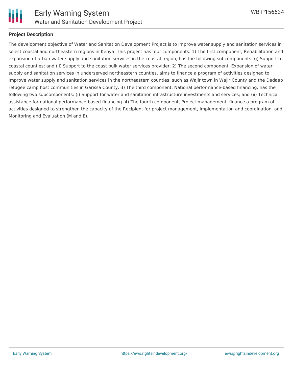

### **Project Description**

The development objective of Water and Sanitation Development Project is to improve water supply and sanitation services in select coastal and northeastern regions in Kenya. This project has four components. 1) The first component, Rehabilitation and expansion of urban water supply and sanitation services in the coastal region, has the following subcomponents: (i) Support to coastal counties; and (ii) Support to the coast bulk water services provider. 2) The second component, Expansion of water supply and sanitation services in underserved northeastern counties, aims to finance a program of activities designed to improve water supply and sanitation services in the northeastern counties, such as Wajir town in Wajir County and the Dadaab refugee camp host communities in Garissa County. 3) The third component, National performance-based financing, has the following two subcomponents: (i) Support for water and sanitation infrastructure investments and services; and (ii) Technical assistance for national performance-based financing. 4) The fourth component, Project management, finance a program of activities designed to strengthen the capacity of the Recipient for project management, implementation and coordination, and Monitoring and Evaluation (M and E).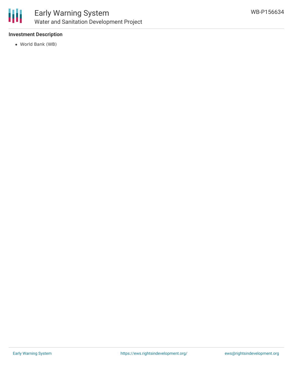

### Early Warning System Water and Sanitation Development Project

### **Investment Description**

World Bank (WB)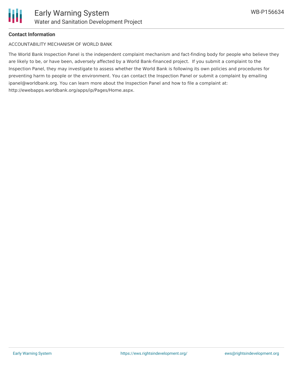

#### **Contact Information**

ACCOUNTABILITY MECHANISM OF WORLD BANK

The World Bank Inspection Panel is the independent complaint mechanism and fact-finding body for people who believe they are likely to be, or have been, adversely affected by a World Bank-financed project. If you submit a complaint to the Inspection Panel, they may investigate to assess whether the World Bank is following its own policies and procedures for preventing harm to people or the environment. You can contact the Inspection Panel or submit a complaint by emailing ipanel@worldbank.org. You can learn more about the Inspection Panel and how to file a complaint at: http://ewebapps.worldbank.org/apps/ip/Pages/Home.aspx.